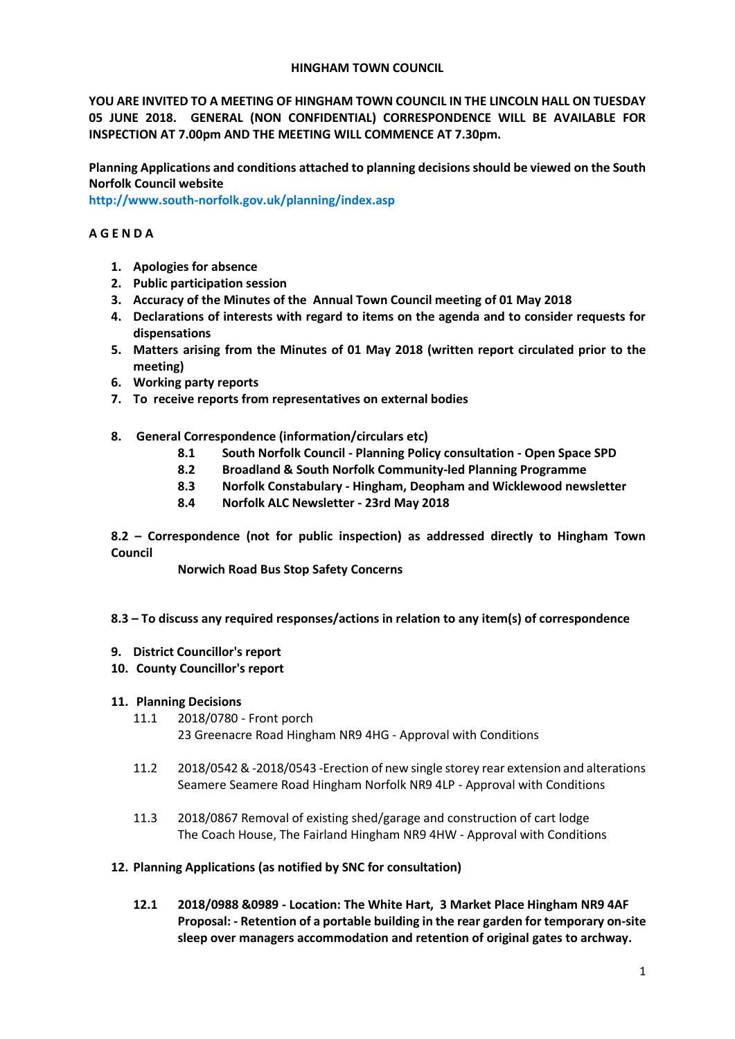## **HINGHAM TOWN COUNCIL**

**YOU ARE INVITED TO A MEETING OF HINGHAM TOWN COUNCIL IN THE LINCOLN HALL ON TUESDAY 05 JUNE 2018. GENERAL (NON CONFIDENTIAL) CORRESPONDENCE WILL BE AVAILABLE FOR INSPECTION AT 7.00pm AND THE MEETING WILL COMMENCE AT 7.30pm.** 

**Planning Applications and conditions attached to planning decisions should be viewed on the South Norfolk Council website** 

**<http://www.south-norfolk.gov.uk/planning/index.asp>**

## **A G E N D A**

- **1. Apologies for absence**
- **2. Public participation session**
- **3. Accuracy of the Minutes of the Annual Town Council meeting of 01 May 2018**
- **4. Declarations of interests with regard to items on the agenda and to consider requests for dispensations**
- **5. Matters arising from the Minutes of 01 May 2018 (written report circulated prior to the meeting)**
- **6. Working party reports**
- **7. To receive reports from representatives on external bodies**
- **8. General Correspondence (information/circulars etc)**
	- **8.1 South Norfolk Council - Planning Policy consultation - Open Space SPD**
	- **8.2 Broadland & South Norfolk Community-led Planning Programme**
	- **8.3 Norfolk Constabulary - Hingham, Deopham and Wicklewood newsletter**
	- **8.4 Norfolk ALC Newsletter - 23rd May 2018**

**8.2 – Correspondence (not for public inspection) as addressed directly to Hingham Town Council**

**Norwich Road Bus Stop Safety Concerns** 

## **8.3 – To discuss any required responses/actions in relation to any item(s) of correspondence**

- **9. District Councillor's report**
- **10. County Councillor's report**

## **11. Planning Decisions**

- 11.1 2018/0780 Front porch
	- 23 Greenacre Road Hingham NR9 4HG Approval with Conditions
- 11.2 2018/0542 & -2018/0543 -Erection of new single storey rear extension and alterations Seamere Seamere Road Hingham Norfolk NR9 4LP - Approval with Conditions
- 11.3 2018/0867 Removal of existing shed/garage and construction of cart lodge The Coach House, The Fairland Hingham NR9 4HW - Approval with Conditions
- **12. Planning Applications (as notified by SNC for consultation)**
	- **12.1 2018/0988 &0989 - Location: The White Hart, 3 Market Place Hingham NR9 4AF Proposal: - Retention of a portable building in the rear garden for temporary on-site sleep over managers accommodation and retention of original gates to archway.**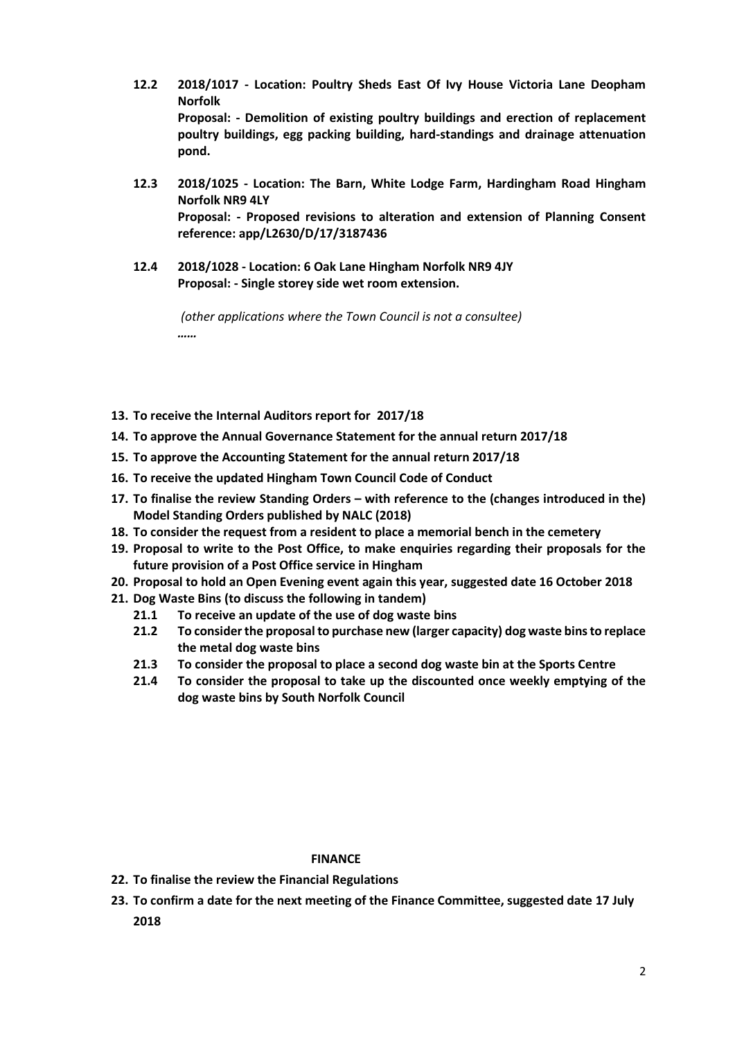- **12.2 2018/1017 - Location: Poultry Sheds East Of Ivy House Victoria Lane Deopham Norfolk Proposal: - Demolition of existing poultry buildings and erection of replacement poultry buildings, egg packing building, hard-standings and drainage attenuation pond.**
- **12.3 2018/1025 - Location: The Barn, White Lodge Farm, Hardingham Road Hingham Norfolk NR9 4LY Proposal: - Proposed revisions to alteration and extension of Planning Consent reference: app/L2630/D/17/3187436**
- **12.4 2018/1028 - Location: 6 Oak Lane Hingham Norfolk NR9 4JY Proposal: - Single storey side wet room extension.**

*(other applications where the Town Council is not a consultee) ……*

- **13. To receive the Internal Auditors report for 2017/18**
- **14. To approve the Annual Governance Statement for the annual return 2017/18**
- **15. To approve the Accounting Statement for the annual return 2017/18**
- **16. To receive the updated Hingham Town Council Code of Conduct**
- **17. To finalise the review Standing Orders – with reference to the (changes introduced in the) Model Standing Orders published by NALC (2018)**
- **18. To consider the request from a resident to place a memorial bench in the cemetery**
- **19. Proposal to write to the Post Office, to make enquiries regarding their proposals for the future provision of a Post Office service in Hingham**
- **20. Proposal to hold an Open Evening event again this year, suggested date 16 October 2018**
- **21. Dog Waste Bins (to discuss the following in tandem)**
	- **21.1 To receive an update of the use of dog waste bins**
	- **21.2 To consider the proposal to purchase new (larger capacity) dog waste bins to replace the metal dog waste bins**
	- **21.3 To consider the proposal to place a second dog waste bin at the Sports Centre**
	- **21.4 To consider the proposal to take up the discounted once weekly emptying of the dog waste bins by South Norfolk Council**

#### **FINANCE**

- **22. To finalise the review the Financial Regulations**
- **23. To confirm a date for the next meeting of the Finance Committee, suggested date 17 July 2018**